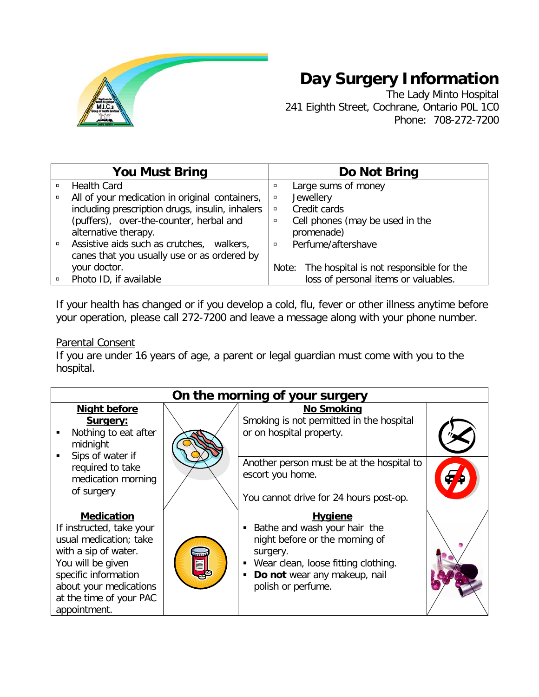

# **Day Surgery Information**

The Lady Minto Hospital 241 Eighth Street, Cochrane, Ontario P0L 1C0 Phone: 708-272-7200

|        | <b>You Must Bring</b>                           |        | Do Not Bring                                  |
|--------|-------------------------------------------------|--------|-----------------------------------------------|
| $\Box$ | <b>Health Card</b>                              | $\Box$ | Large sums of money                           |
| $\Box$ | All of your medication in original containers,  | σ      | Jewellery                                     |
|        | including prescription drugs, insulin, inhalers | $\Box$ | Credit cards                                  |
|        | (puffers), over-the-counter, herbal and         | $\Box$ | Cell phones (may be used in the               |
|        | alternative therapy.                            |        | promenade)                                    |
|        | Assistive aids such as crutches, walkers,       | $\Box$ | Perfume/aftershave                            |
|        | canes that you usually use or as ordered by     |        |                                               |
|        | your doctor.                                    |        | Note: The hospital is not responsible for the |
|        | Photo ID, if available                          |        | loss of personal items or valuables.          |

If your health has changed or if you develop a cold, flu, fever or other illness anytime before your operation, please call 272-7200 and leave a message along with your phone number.

## Parental Consent

If you are under 16 years of age, a parent or legal guardian must come with you to the hospital.

| On the morning of your surgery                                                                                                                                                                                    |  |                                                                                                                                                                                                  |  |  |  |
|-------------------------------------------------------------------------------------------------------------------------------------------------------------------------------------------------------------------|--|--------------------------------------------------------------------------------------------------------------------------------------------------------------------------------------------------|--|--|--|
| <b>Night before</b><br>Surgery:<br>Nothing to eat after<br>midnight<br>Sips of water if<br>$\blacksquare$<br>required to take<br>medication morning                                                               |  | <b>No Smoking</b><br>Smoking is not permitted in the hospital<br>or on hospital property.<br>Another person must be at the hospital to<br>escort you home.                                       |  |  |  |
| of surgery                                                                                                                                                                                                        |  | You cannot drive for 24 hours post-op.                                                                                                                                                           |  |  |  |
| <b>Medication</b><br>If instructed, take your<br>usual medication; take<br>with a sip of water.<br>You will be given<br>specific information<br>about your medications<br>at the time of your PAC<br>appointment. |  | <b>Hygiene</b><br>Bathe and wash your hair the<br>night before or the morning of<br>surgery.<br>• Wear clean, loose fitting clothing.<br>Do not wear any makeup, nail<br>٠<br>polish or perfume. |  |  |  |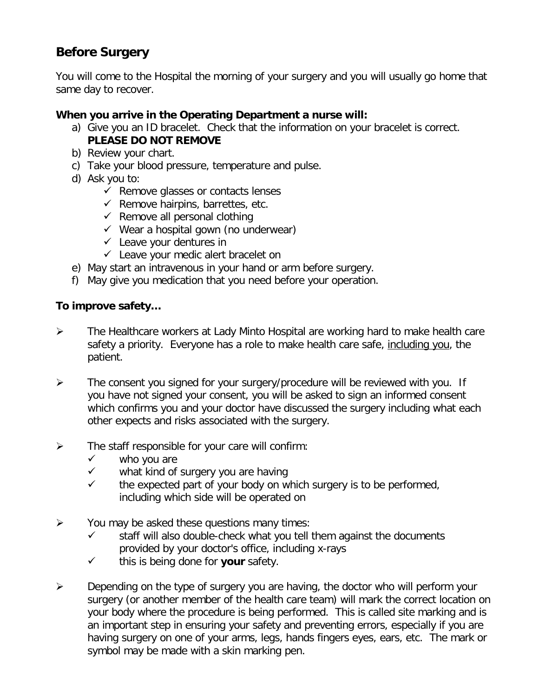# **Before Surgery**

You will come to the Hospital the morning of your surgery and you will usually go home that same day to recover.

#### **When you arrive in the Operating Department a nurse will:**

- a) Give you an ID bracelet. Check that the information on your bracelet is correct. **PLEASE DO NOT REMOVE**
- b) Review your chart.
- c) Take your blood pressure, temperature and pulse.
- d) Ask you to:
	- $\checkmark$  Remove glasses or contacts lenses
	- $\checkmark$  Remove hairpins, barrettes, etc.
	- $\checkmark$  Remove all personal clothing
	- $\checkmark$  Wear a hospital gown (no underwear)
	- $\checkmark$  Leave your dentures in
	- $\checkmark$  Leave your medic alert bracelet on
- e) May start an intravenous in your hand or arm before surgery.
- f) May give you medication that you need before your operation.

#### **To improve safety…**

- The Healthcare workers at Lady Minto Hospital are working hard to make health care safety a priority. Everyone has a role to make health care safe, including you, the patient.
- $\triangleright$  The consent you signed for your surgery/procedure will be reviewed with you. If you have not signed your consent, you will be asked to sign an informed consent which confirms you and your doctor have discussed the surgery including what each other expects and risks associated with the surgery.
- $\triangleright$  The staff responsible for your care will confirm:
	- $\checkmark$  who you are
	- $\checkmark$  what kind of surgery you are having
	- $\checkmark$  the expected part of your body on which surgery is to be performed, including which side will be operated on
- $\triangleright$  You may be asked these questions many times:
	- $\checkmark$  staff will also double-check what you tell them against the documents provided by your doctor's office, including x-rays
	- $\checkmark$  this is being done for **your** safety.
- $\triangleright$  Depending on the type of surgery you are having, the doctor who will perform your surgery (or another member of the health care team) will mark the correct location on your body where the procedure is being performed. This is called site marking and is an important step in ensuring your safety and preventing errors, especially if you are having surgery on one of your arms, legs, hands fingers eyes, ears, etc. The mark or symbol may be made with a skin marking pen.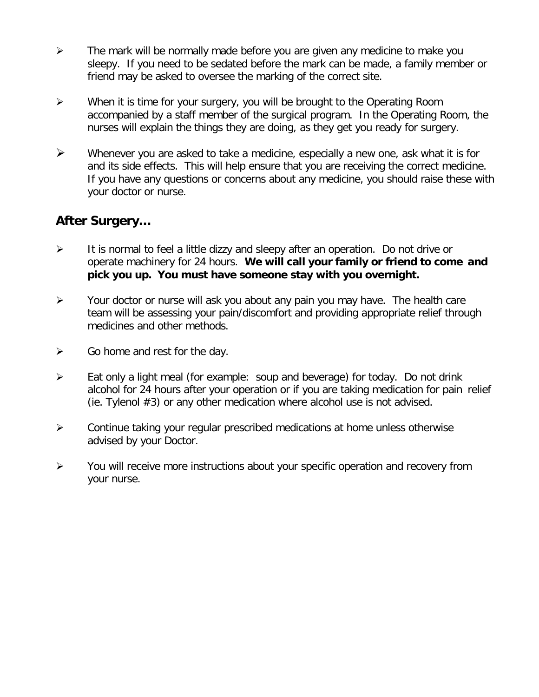- $\triangleright$  The mark will be normally made before you are given any medicine to make you sleepy. If you need to be sedated before the mark can be made, a family member or friend may be asked to oversee the marking of the correct site.
- $\triangleright$  When it is time for your surgery, you will be brought to the Operating Room accompanied by a staff member of the surgical program. In the Operating Room, the nurses will explain the things they are doing, as they get you ready for surgery.
- $\triangleright$  Whenever you are asked to take a medicine, especially a new one, ask what it is for and its side effects. This will help ensure that you are receiving the correct medicine. If you have any questions or concerns about any medicine, you should raise these with your doctor or nurse.

# **After Surgery…**

- $\triangleright$  It is normal to feel a little dizzy and sleepy after an operation. Do not drive or operate machinery for 24 hours. **We will call your family or friend to come and pick you up. You must have someone stay with you overnight.**
- $\triangleright$  Your doctor or nurse will ask you about any pain you may have. The health care team will be assessing your pain/discomfort and providing appropriate relief through medicines and other methods.
- $\triangleright$  Go home and rest for the day.
- $\triangleright$  Eat only a light meal (for example: soup and beverage) for today. Do not drink alcohol for 24 hours after your operation or if you are taking medication for pain relief (ie. Tylenol #3) or any other medication where alcohol use is not advised.
- $\triangleright$  Continue taking your regular prescribed medications at home unless otherwise advised by your Doctor.
- $\triangleright$  You will receive more instructions about your specific operation and recovery from your nurse.